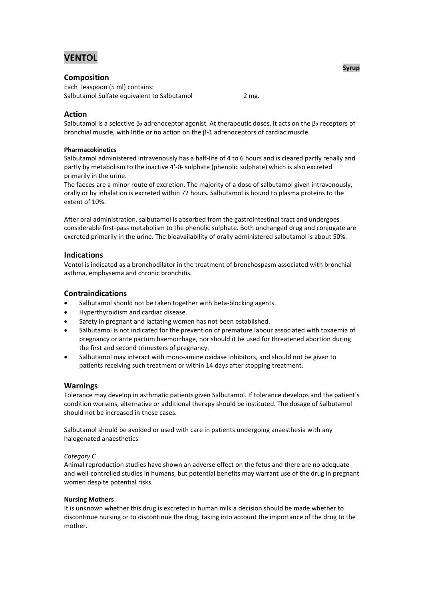# **VENTOL**

# **Composition**

Each Teaspoon (5 ml) contains: Salbutamol Sulfate equivalent to Salbutamol 2 mg.

# **Action**

Salbutamol is a selective  $\beta_2$  adrenoceptor agonist. At therapeutic doses, it acts on the  $\beta_2$  receptors of bronchial muscle, with little or no action on the β-1 adrenoceptors of cardiac muscle.

## **Pharmacokinetics**

Salbutamol administered intravenously has a half-life of 4 to 6 hours and is cleared partly renally and partly by metabolism to the inactive 4'-0- sulphate (phenolic sulphate) which is also excreted primarily in the urine.

The faeces are a minor route of excretion. The majority of a dose of salbutamol given intravenously, orally or by inhalation is excreted within 72 hours. Salbutamol is bound to plasma proteins to the extent of 10%.

After oral administration, salbutamol is absorbed from the gastrointestinal tract and undergoes considerable first-pass metabolism to the phenolic sulphate. Both unchanged drug and conjugate are excreted primarily in the urine. The bioavailability of orally administered salbutamol is about 50%.

# **Indications**

Ventol is indicated as a bronchodilator in the treatment of bronchospasm associated with bronchial asthma, emphysema and chronic bronchitis.

# **Contraindications**

- Salbutamol should not be taken together with beta-blocking agents.
- Hyperthyroidism and cardiac disease.
- Safety in pregnant and lactating women has not been established.
- Salbutamol is not indicated for the prevention of premature labour associated with toxaemia of pregnancy or ante partum haemorrhage, nor should it be used for threatened abortion during the first and second trimesters of pregnancy.
- Salbutamol may interact with mono-amine oxidase inhibitors, and should not be given to patients receiving such treatment or within 14 days after stopping treatment.

## **Warnings**

Tolerance may develop in asthmatic patients given Salbutamol. If tolerance develops and the patient's condition worsens, alternative or additional therapy should be instituted. The dosage of Salbutamol should not be increased in these cases.

Salbutamol should be avoided or used with care in patients undergoing anaesthesia with any halogenated anaesthetics

## *Category C*

Animal reproduction studies have shown an adverse effect on the fetus and there are no adequate and well-controlled studies in humans, but potential benefits may warrant use of the drug in pregnant women despite potential risks.

#### **Nursing Mothers**

It is unknown whether this drug is excreted in human milk a decision should be made whether to discontinue nursing or to discontinue the drug, taking into account the importance of the drug to the mother.